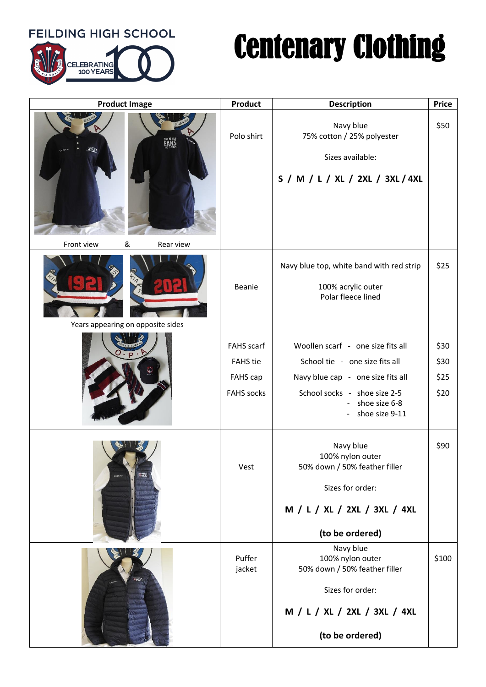**FEILDING HIGH SCHOOL** 



## Centenary Clothing

| <b>Product Image</b>                 | Product                                                               | <b>Description</b>                                                                                                                                                          | <b>Price</b>                 |
|--------------------------------------|-----------------------------------------------------------------------|-----------------------------------------------------------------------------------------------------------------------------------------------------------------------------|------------------------------|
| FAHS<br>Front view<br>&<br>Rear view | Polo shirt                                                            | Navy blue<br>75% cotton / 25% polyester<br>Sizes available:<br>S / M / L / XL / 2XL / 3XL / 4XL                                                                             | \$50                         |
| Years appearing on opposite sides    | Beanie                                                                | Navy blue top, white band with red strip<br>100% acrylic outer<br>Polar fleece lined                                                                                        | \$25                         |
|                                      | <b>FAHS</b> scarf<br><b>FAHS</b> tie<br>FAHS cap<br><b>FAHS</b> socks | Woollen scarf - one size fits all<br>School tie - one size fits all<br>Navy blue cap - one size fits all<br>School socks - shoe size 2-5<br>shoe size 6-8<br>shoe size 9-11 | \$30<br>\$30<br>\$25<br>\$20 |
|                                      | Vest                                                                  | Navy blue<br>100% nylon outer<br>50% down / 50% feather filler<br>Sizes for order:<br>M / L / XL / 2XL / 3XL / 4XL<br>(to be ordered)                                       | \$90                         |
|                                      | Puffer<br>jacket                                                      | Navy blue<br>100% nylon outer<br>50% down / 50% feather filler<br>Sizes for order:<br>M / L / XL / 2XL / 3XL / 4XL<br>(to be ordered)                                       | \$100                        |